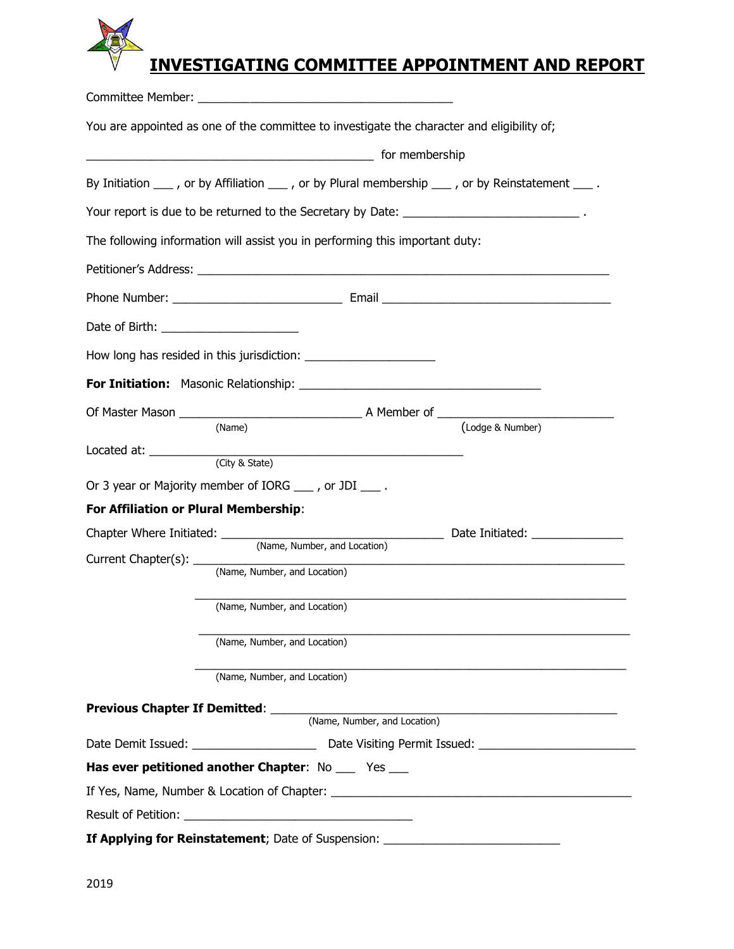## **INVESTIGATING COMMITTEE APPOINTMENT AND REPORT**

|                                         | You are appointed as one of the committee to investigate the character and eligibility of;                            |                                                                                                                 |
|-----------------------------------------|-----------------------------------------------------------------------------------------------------------------------|-----------------------------------------------------------------------------------------------------------------|
|                                         | continuing the membership for membership                                                                              |                                                                                                                 |
|                                         | By Initiation $\_\_\$ , or by Affiliation $\_\_\$ , or by Plural membership $\_\_\$ , or by Reinstatement $\_\_\_\$ . |                                                                                                                 |
|                                         | Your report is due to be returned to the Secretary by Date: _______________________________.                          |                                                                                                                 |
|                                         | The following information will assist you in performing this important duty:                                          |                                                                                                                 |
|                                         |                                                                                                                       |                                                                                                                 |
|                                         |                                                                                                                       |                                                                                                                 |
| Date of Birth: ________________________ |                                                                                                                       |                                                                                                                 |
|                                         |                                                                                                                       |                                                                                                                 |
|                                         |                                                                                                                       |                                                                                                                 |
|                                         |                                                                                                                       |                                                                                                                 |
|                                         | (Name)                                                                                                                | (Lodge & Number)                                                                                                |
|                                         | Located at:<br>(City & State)                                                                                         |                                                                                                                 |
|                                         | Or 3 year or Majority member of IORG ____, or JDI ____.                                                               |                                                                                                                 |
| For Affiliation or Plural Membership:   |                                                                                                                       |                                                                                                                 |
|                                         |                                                                                                                       |                                                                                                                 |
|                                         | (Name, Number, and Location)                                                                                          |                                                                                                                 |
|                                         |                                                                                                                       |                                                                                                                 |
|                                         | (Name, Number, and Location)                                                                                          |                                                                                                                 |
|                                         | (Name, Number, and Location)                                                                                          |                                                                                                                 |
|                                         |                                                                                                                       | (Name, Number, and Location)                                                                                    |
|                                         |                                                                                                                       |                                                                                                                 |
|                                         |                                                                                                                       |                                                                                                                 |
|                                         |                                                                                                                       |                                                                                                                 |
|                                         | Has ever petitioned another Chapter: No __ Yes __                                                                     |                                                                                                                 |
|                                         |                                                                                                                       | If Yes, Name, Number & Location of Chapter: Name of Allen and Allen and Allen and Allen and Allen and Allen and |
|                                         |                                                                                                                       |                                                                                                                 |
|                                         | If Applying for Reinstatement; Date of Suspension: _____________________________                                      |                                                                                                                 |